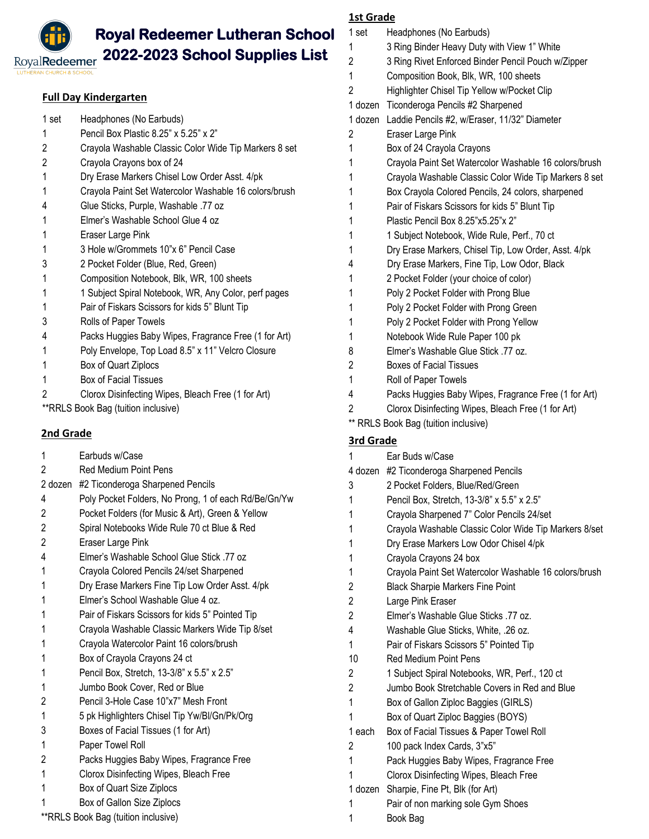# **Royal Redeemer Lutheran School 2022-2023 School Supplies List**

RoyalRedeemer

# **Full Day Kindergarten**

| Headphones (No Earbuds)<br>1 set |  |
|----------------------------------|--|
|----------------------------------|--|

- Pencil Box Plastic 8.25" x 5.25" x 2"
- Crayola Washable Classic Color Wide Tip Markers 8 set
- Crayola Crayons box of 24
- Dry Erase Markers Chisel Low Order Asst. 4/pk
- Crayola Paint Set Watercolor Washable 16 colors/brush
- Glue Sticks, Purple, Washable .77 oz
- Elmer's Washable School Glue 4 oz
- Eraser Large Pink
- 3 Hole w/Grommets 10"x 6" Pencil Case
- 2 Pocket Folder (Blue, Red, Green)
- Composition Notebook, Blk, WR, 100 sheets
- 1 1 1 Subject Spiral Notebook, WR, Any Color, perf pages
- Pair of Fiskars Scissors for kids 5" Blunt Tip
- Rolls of Paper Towels
- Packs Huggies Baby Wipes, Fragrance Free (1 for Art)
- Poly Envelope, Top Load 8.5" x 11" Velcro Closure
- Box of Quart Ziplocs
- Box of Facial Tissues
- 2 Clorox Disinfecting Wipes, Bleach Free (1 for Art)

\*\*RRLS Book Bag (tuition inclusive)

# **2nd Grade**

 Earbuds w/Case Red Medium Point Pens 2 dozen #2 Ticonderoga Sharpened Pencils Poly Pocket Folders, No Prong, 1 of each Rd/Be/Gn/Yw Pocket Folders (for Music & Art), Green & Yellow Spiral Notebooks Wide Rule 70 ct Blue & Red Eraser Large Pink Elmer's Washable School Glue Stick .77 oz Crayola Colored Pencils 24/set Sharpened Dry Erase Markers Fine Tip Low Order Asst. 4/pk Elmer's School Washable Glue 4 oz. Pair of Fiskars Scissors for kids 5" Pointed Tip Crayola Washable Classic Markers Wide Tip 8/set Crayola Watercolor Paint 16 colors/brush Box of Crayola Crayons 24 ct Pencil Box, Stretch, 13-3/8" x 5.5" x 2.5" Jumbo Book Cover, Red or Blue Pencil 3-Hole Case 10"x7" Mesh Front 5 pk Highlighters Chisel Tip Yw/Bl/Gn/Pk/Org Boxes of Facial Tissues (1 for Art) Paper Towel Roll Packs Huggies Baby Wipes, Fragrance Free Clorox Disinfecting Wipes, Bleach Free Box of Quart Size Ziplocs Box of Gallon Size Ziplocs \*\*RRLS Book Bag (tuition inclusive)

|                  | <b>1st Grade</b>                                      |  |  |  |  |
|------------------|-------------------------------------------------------|--|--|--|--|
| 1 set            | Headphones (No Earbuds)                               |  |  |  |  |
| 1                | 3 Ring Binder Heavy Duty with View 1" White           |  |  |  |  |
| 2                | 3 Ring Rivet Enforced Binder Pencil Pouch w/Zipper    |  |  |  |  |
| 1                | Composition Book, Blk, WR, 100 sheets                 |  |  |  |  |
| 2                | Highlighter Chisel Tip Yellow w/Pocket Clip           |  |  |  |  |
|                  | 1 dozen Ticonderoga Pencils #2 Sharpened              |  |  |  |  |
| 1 dozen          | Laddie Pencils #2, w/Eraser, 11/32" Diameter          |  |  |  |  |
| 2                | Eraser Large Pink                                     |  |  |  |  |
| 1                | Box of 24 Crayola Crayons                             |  |  |  |  |
| 1                | Crayola Paint Set Watercolor Washable 16 colors/brush |  |  |  |  |
| 1                | Crayola Washable Classic Color Wide Tip Markers 8 set |  |  |  |  |
| 1                | Box Crayola Colored Pencils, 24 colors, sharpened     |  |  |  |  |
| 1                | Pair of Fiskars Scissors for kids 5" Blunt Tip        |  |  |  |  |
| 1                | Plastic Pencil Box 8.25"x5.25"x 2"                    |  |  |  |  |
| 1                | 1 Subject Notebook, Wide Rule, Perf., 70 ct           |  |  |  |  |
| 1                | Dry Erase Markers, Chisel Tip, Low Order, Asst. 4/pk  |  |  |  |  |
| 4                | Dry Erase Markers, Fine Tip, Low Odor, Black          |  |  |  |  |
| 1                | 2 Pocket Folder (your choice of color)                |  |  |  |  |
| 1                | Poly 2 Pocket Folder with Prong Blue                  |  |  |  |  |
| 1                | Poly 2 Pocket Folder with Prong Green                 |  |  |  |  |
| 1                | Poly 2 Pocket Folder with Prong Yellow                |  |  |  |  |
| 1                | Notebook Wide Rule Paper 100 pk                       |  |  |  |  |
| 8                | Elmer's Washable Glue Stick .77 oz.                   |  |  |  |  |
| 2                | <b>Boxes of Facial Tissues</b>                        |  |  |  |  |
| 1                | Roll of Paper Towels                                  |  |  |  |  |
| 4                | Packs Huggies Baby Wipes, Fragrance Free (1 for Art)  |  |  |  |  |
| $\overline{c}$   | Clorox Disinfecting Wipes, Bleach Free (1 for Art)    |  |  |  |  |
|                  | ** RRLS Book Bag (tuition inclusive)                  |  |  |  |  |
| <b>3rd Grade</b> |                                                       |  |  |  |  |
| 1                | Ear Buds w/Case                                       |  |  |  |  |
|                  | 4 dozen #2 Ticonderoga Sharpened Pencils              |  |  |  |  |
| 3                | 2 Pocket Folders, Blue/Red/Green                      |  |  |  |  |
| 1                | Pencil Box, Stretch, 13-3/8" x 5.5" x 2.5"            |  |  |  |  |
| 1                | Crayola Sharpened 7" Color Pencils 24/set             |  |  |  |  |
| 1                | Crayola Washable Classic Color Wide Tip Markers 8/set |  |  |  |  |
| 1                | Dry Erase Markers Low Odor Chisel 4/pk                |  |  |  |  |
| 1                | Crayola Crayons 24 box                                |  |  |  |  |
| 1                | Crayola Paint Set Watercolor Washable 16 colors/brush |  |  |  |  |
| 2                | <b>Black Sharpie Markers Fine Point</b>               |  |  |  |  |
| 2                | Large Pink Eraser                                     |  |  |  |  |
| $\overline{c}$   | Elmer's Washable Glue Sticks 77 oz.                   |  |  |  |  |
| 4                | Washable Glue Sticks, White, .26 oz.                  |  |  |  |  |
| 1                | Pair of Fiskars Scissors 5" Pointed Tip               |  |  |  |  |
| 10               | <b>Red Medium Point Pens</b>                          |  |  |  |  |
| 2                | 1 Subject Spiral Notebooks, WR, Perf., 120 ct         |  |  |  |  |
| 2                | Jumbo Book Stretchable Covers in Red and Blue         |  |  |  |  |
| 1                | Box of Gallon Ziploc Baggies (GIRLS)                  |  |  |  |  |
| 1                | Box of Quart Ziploc Baggies (BOYS)                    |  |  |  |  |
| 1 each           | Box of Facial Tissues & Paper Towel Roll              |  |  |  |  |
|                  |                                                       |  |  |  |  |
| 2<br>1           | 100 pack Index Cards, 3"x5"                           |  |  |  |  |
|                  | Pack Huggies Baby Wipes, Fragrance Free               |  |  |  |  |

- Clorox Disinfecting Wipes, Bleach Free
- 1 dozen Sharpie, Fine Pt, Blk (for Art)
- Pair of non marking sole Gym Shoes
- Book Bag